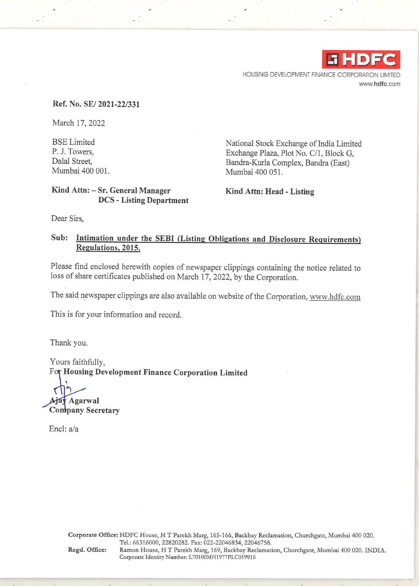

HOUSING DEVELOPMENT FINANCE CORPORATION LIMITED **www.hdfc.com** 

## **Ref. No. SE/ 2021-22/331**

March 17, 2022

BSE Limited P. J. Towers, Dalal Street, Mumbai 400 001.

National Stock Exchange of India Limited Exchange Plaza, Plot No. C/1, Block G, Bandra-Kurla Complex, Bandra (East) Mumbai 400 051.

# **Kind Attn:** - **Sr. General Manager DCS** - **Listing Department**

**Kind Attn: Head** - **Listing** 

Dear Sirs,

# **Sub: Intimation under the SEBI (Listing Obligations and Disclosure Requirements) Regulations, 2015.**

Please find enclosed herewith copies of newspaper clippings containing the notice related to loss of share certificates published on March 17, 2022, by the Corporation.

The said newspaper clippings are also available on website of the Corporation, www.hdfc.com

This is for your information and record.

Thank you.

Yours faithfully, For Housing Development Finance Corporation Limited

**Ajay Agarwal Company Secretary** 

Encl: a/a

**Corporate Office:** HDFC House, HT Parekh Marg, 165-166, Backbay Reclamation, Churchgate, Mumbai 400 020. Tel.: 66316000, 22820282. Fax: 022-22046834, 22046758. **Regd. Office:** Ramon House, HT Parekh Marg, 169, Backbay Reclamation, Churchgate, Mumbai 400 020. INDIA. Corporate Identity Number: L70100MH1977PLC019916